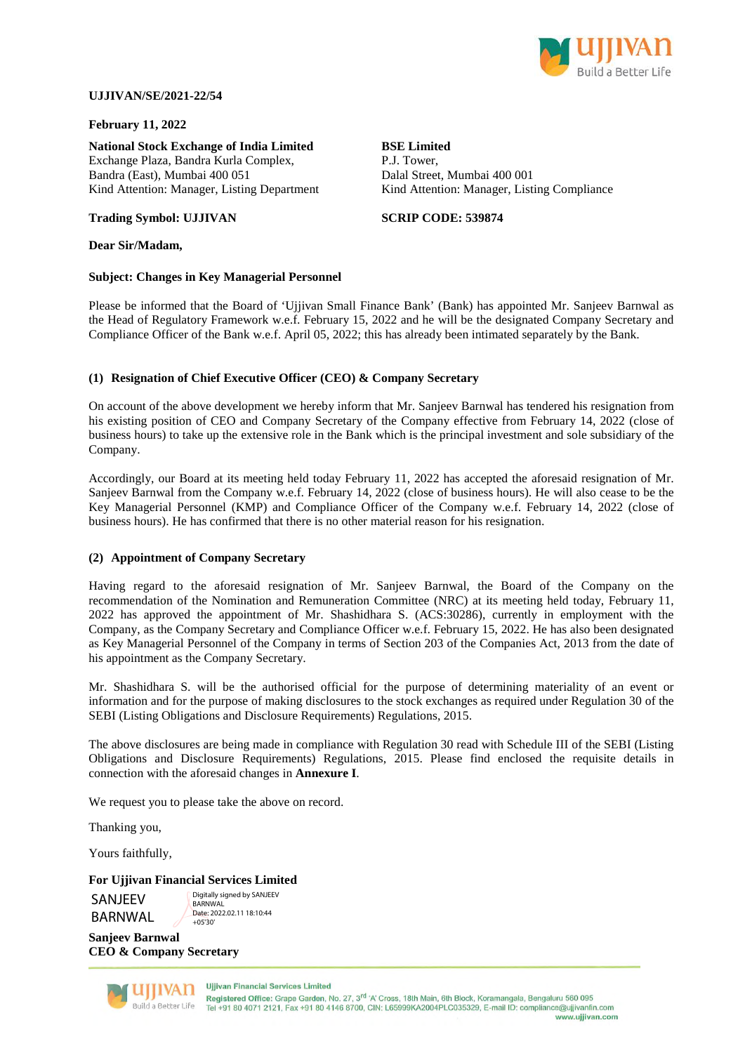

## **UJJIVAN/SE/2021-22/54**

**Trading Symbol: UJJIVAN** 

## **February 11, 2022**

**National Stock Exchange of India Limited**  Exchange Plaza, Bandra Kurla Complex, Bandra (East), Mumbai 400 051 Kind Attention: Manager, Listing Department

## **BSE Limited**

P.J. Tower, Dalal Street, Mumbai 400 001 Kind Attention: Manager, Listing Compliance

**SCRIP CODE: 539874**

## **Dear Sir/Madam,**

#### **Subject: Changes in Key Managerial Personnel**

Please be informed that the Board of 'Ujjivan Small Finance Bank' (Bank) has appointed Mr. Sanjeev Barnwal as the Head of Regulatory Framework w.e.f. February 15, 2022 and he will be the designated Company Secretary and Compliance Officer of the Bank w.e.f. April 05, 2022; this has already been intimated separately by the Bank.

## **(1) Resignation of Chief Executive Officer (CEO) & Company Secretary**

On account of the above development we hereby inform that Mr. Sanjeev Barnwal has tendered his resignation from his existing position of CEO and Company Secretary of the Company effective from February 14, 2022 (close of business hours) to take up the extensive role in the Bank which is the principal investment and sole subsidiary of the Company.

Accordingly, our Board at its meeting held today February 11, 2022 has accepted the aforesaid resignation of Mr. Sanjeev Barnwal from the Company w.e.f. February 14, 2022 (close of business hours). He will also cease to be the Key Managerial Personnel (KMP) and Compliance Officer of the Company w.e.f. February 14, 2022 (close of business hours). He has confirmed that there is no other material reason for his resignation.

#### **(2) Appointment of Company Secretary**

Having regard to the aforesaid resignation of Mr. Sanjeev Barnwal, the Board of the Company on the recommendation of the Nomination and Remuneration Committee (NRC) at its meeting held today, February 11, 2022 has approved the appointment of Mr. Shashidhara S. (ACS:30286), currently in employment with the Company, as the Company Secretary and Compliance Officer w.e.f. February 15, 2022. He has also been designated as Key Managerial Personnel of the Company in terms of Section 203 of the Companies Act, 2013 from the date of his appointment as the Company Secretary.

Mr. Shashidhara S. will be the authorised official for the purpose of determining materiality of an event or information and for the purpose of making disclosures to the stock exchanges as required under Regulation 30 of the SEBI (Listing Obligations and Disclosure Requirements) Regulations, 2015.

The above disclosures are being made in compliance with Regulation 30 read with Schedule III of the SEBI (Listing Obligations and Disclosure Requirements) Regulations, 2015. Please find enclosed the requisite details in connection with the aforesaid changes in **Annexure I**.

We request you to please take the above on record.

Thanking you,

Yours faithfully,

#### **For Ujjivan Financial Services Limited**

SANJEEV **BARNWAL**  Digitally signed by SANJEEV **BARNWAL** Date: 2022.02.11 18:10:44  $+05'30'$ 

**Sanjeev Barnwal CEO & Company Secretary** 



**Ullivan Financial Services Limited** Registered Office: Grape Garden, No. 27, 3<sup>rd</sup> 'A' Cross, 18th Main, 6th Block, Koramangala, Bengaluru 560 095 Tel +91 80 4071 2121, Fax +91 80 4146 8700, CIN: L65999KA2004PLC035329, E-mail ID: compliance@ujjivanfin.com www.ujjivan.com